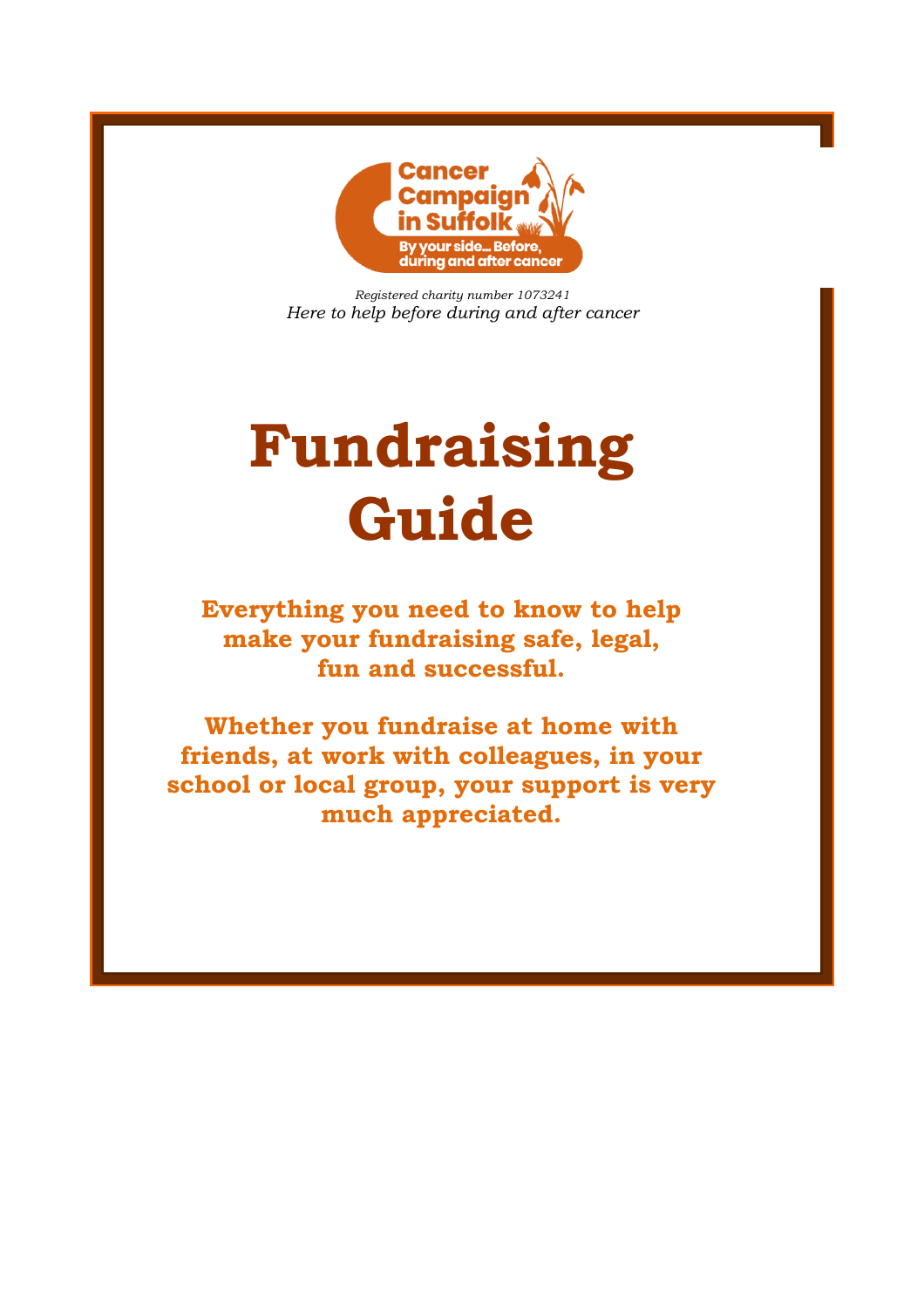

*Registered charity number 1073241 Here to help before during and after cancer*

# **Fundraising Guide**

**Everything you need to know to help make your fundraising safe, legal, fun and successful.**

**Whether you fundraise at home with friends, at work with colleagues, in your school or local group, your support is very much appreciated.**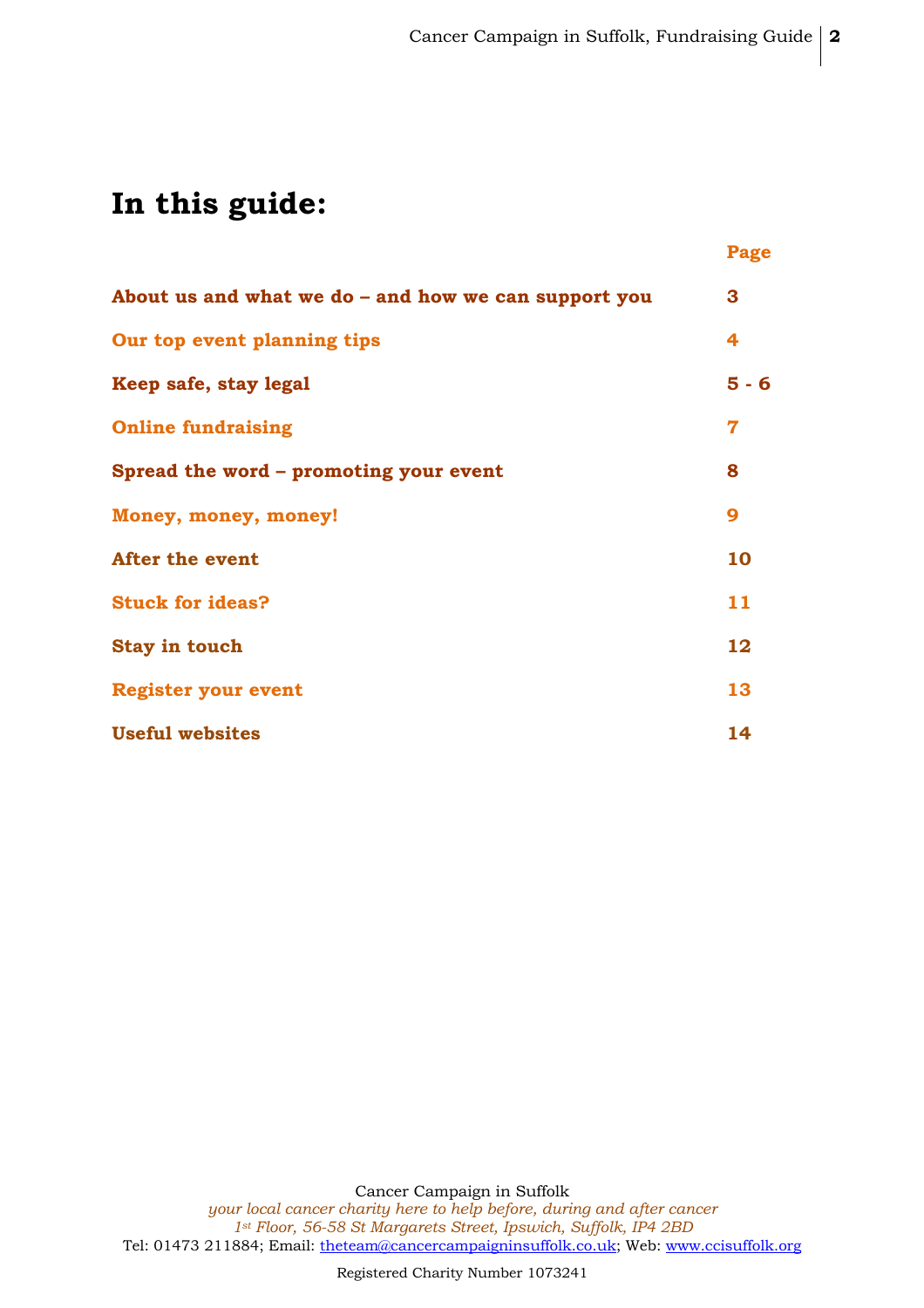## **In this guide:**

|                                                      | Page                    |
|------------------------------------------------------|-------------------------|
| About us and what we do - and how we can support you | 3                       |
| Our top event planning tips                          | 4                       |
| Keep safe, stay legal                                | $5 - 6$                 |
| <b>Online fundraising</b>                            | $\overline{\mathbf{7}}$ |
| Spread the word - promoting your event               | 8                       |
| Money, money, money!                                 | 9                       |
| <b>After the event</b>                               | 10                      |
| <b>Stuck for ideas?</b>                              | 11                      |
| <b>Stay in touch</b>                                 | 12                      |
| <b>Register your event</b>                           | 13                      |
| <b>Useful websites</b>                               | 14                      |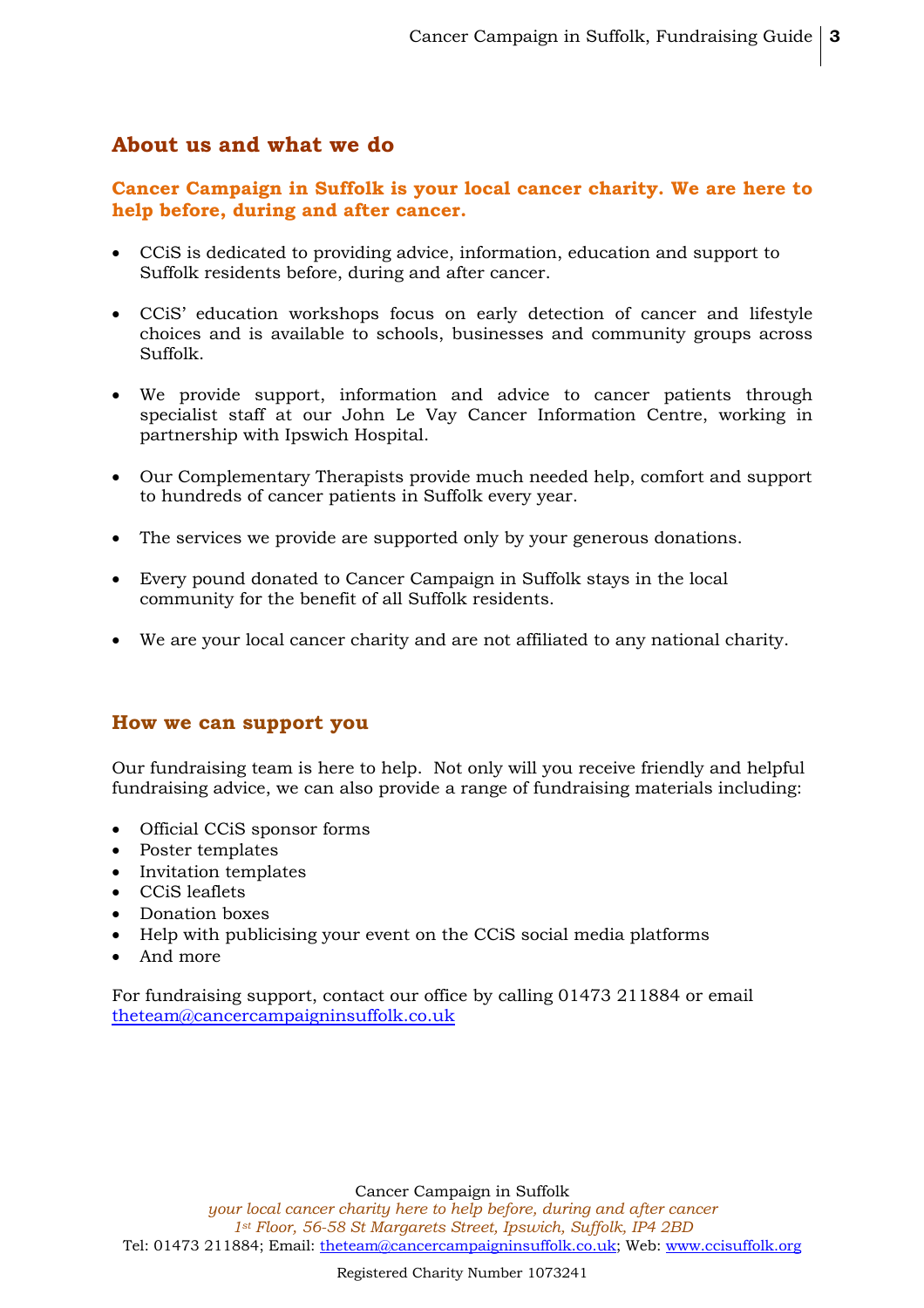## **About us and what we do**

## **Cancer Campaign in Suffolk is your local cancer charity. We are here to help before, during and after cancer.**

- CCiS is dedicated to providing advice, information, education and support to Suffolk residents before, during and after cancer.
- CCiS' education workshops focus on early detection of cancer and lifestyle choices and is available to schools, businesses and community groups across Suffolk.
- We provide support, information and advice to cancer patients through specialist staff at our John Le Vay Cancer Information Centre, working in partnership with Ipswich Hospital.
- Our Complementary Therapists provide much needed help, comfort and support to hundreds of cancer patients in Suffolk every year.
- The services we provide are supported only by your generous donations.
- Every pound donated to Cancer Campaign in Suffolk stays in the local community for the benefit of all Suffolk residents.
- We are your local cancer charity and are not affiliated to any national charity.

## **How we can support you**

Our fundraising team is here to help. Not only will you receive friendly and helpful fundraising advice, we can also provide a range of fundraising materials including:

- Official CCiS sponsor forms
- Poster templates
- Invitation templates
- CCiS leaflets
- Donation boxes
- Help with publicising your event on the CCiS social media platforms
- And more

For fundraising support, contact our office by calling 01473 211884 or email theteam@cancercampaigninsuffolk.co.uk

Cancer Campaign in Suffolk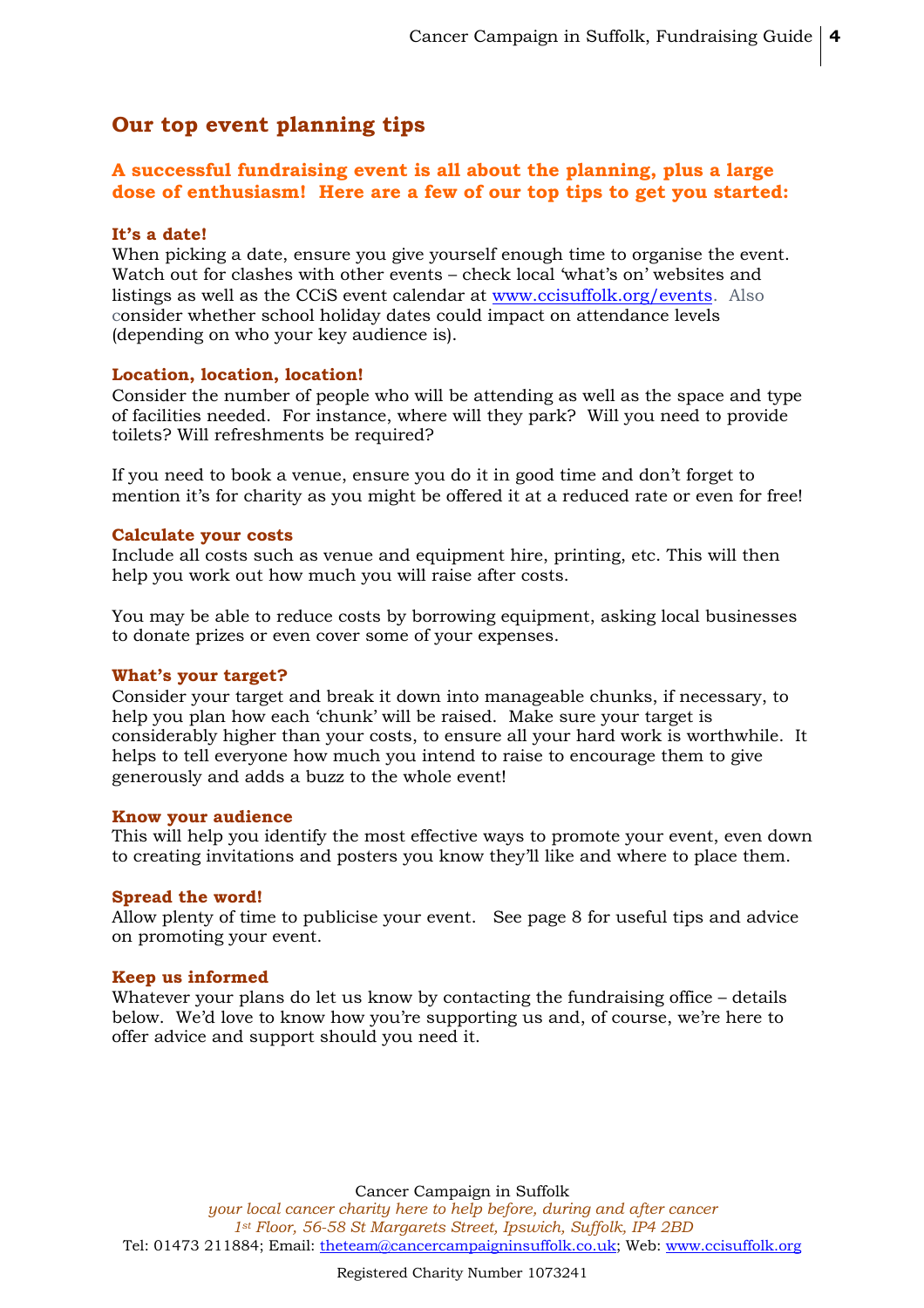## **Our top event planning tips**

## **A successful fundraising event is all about the planning, plus a large dose of enthusiasm! Here are a few of our top tips to get you started:**

#### **It's a date!**

When picking a date, ensure you give yourself enough time to organise the event. Watch out for clashes with other events – check local 'what's on' websites and listings as well as the CCiS event calendar at www.ccisuffolk.org/events. Also consider whether school holiday dates could impact on attendance levels (depending on who your key audience is).

#### **Location, location, location!**

Consider the number of people who will be attending as well as the space and type of facilities needed. For instance, where will they park? Will you need to provide toilets? Will refreshments be required?

If you need to book a venue, ensure you do it in good time and don't forget to mention it's for charity as you might be offered it at a reduced rate or even for free!

#### **Calculate your costs**

Include all costs such as venue and equipment hire, printing, etc. This will then help you work out how much you will raise after costs.

You may be able to reduce costs by borrowing equipment, asking local businesses to donate prizes or even cover some of your expenses.

#### **What's your target?**

Consider your target and break it down into manageable chunks, if necessary, to help you plan how each 'chunk' will be raised. Make sure your target is considerably higher than your costs, to ensure all your hard work is worthwhile. It helps to tell everyone how much you intend to raise to encourage them to give generously and adds a buzz to the whole event!

#### **Know your audience**

This will help you identify the most effective ways to promote your event, even down to creating invitations and posters you know they'll like and where to place them.

#### **Spread the word!**

Allow plenty of time to publicise your event. See page 8 for useful tips and advice on promoting your event.

#### **Keep us informed**

Whatever your plans do let us know by contacting the fundraising office – details below. We'd love to know how you're supporting us and, of course, we're here to offer advice and support should you need it.

Cancer Campaign in Suffolk *your local cancer charity here to help before, during and after cancer 1st Floor, 56-58 St Margarets Street, Ipswich, Suffolk, IP4 2BD* Tel: 01473 211884; Email: theteam@cancercampaigninsuffolk.co.uk; Web: www.ccisuffolk.org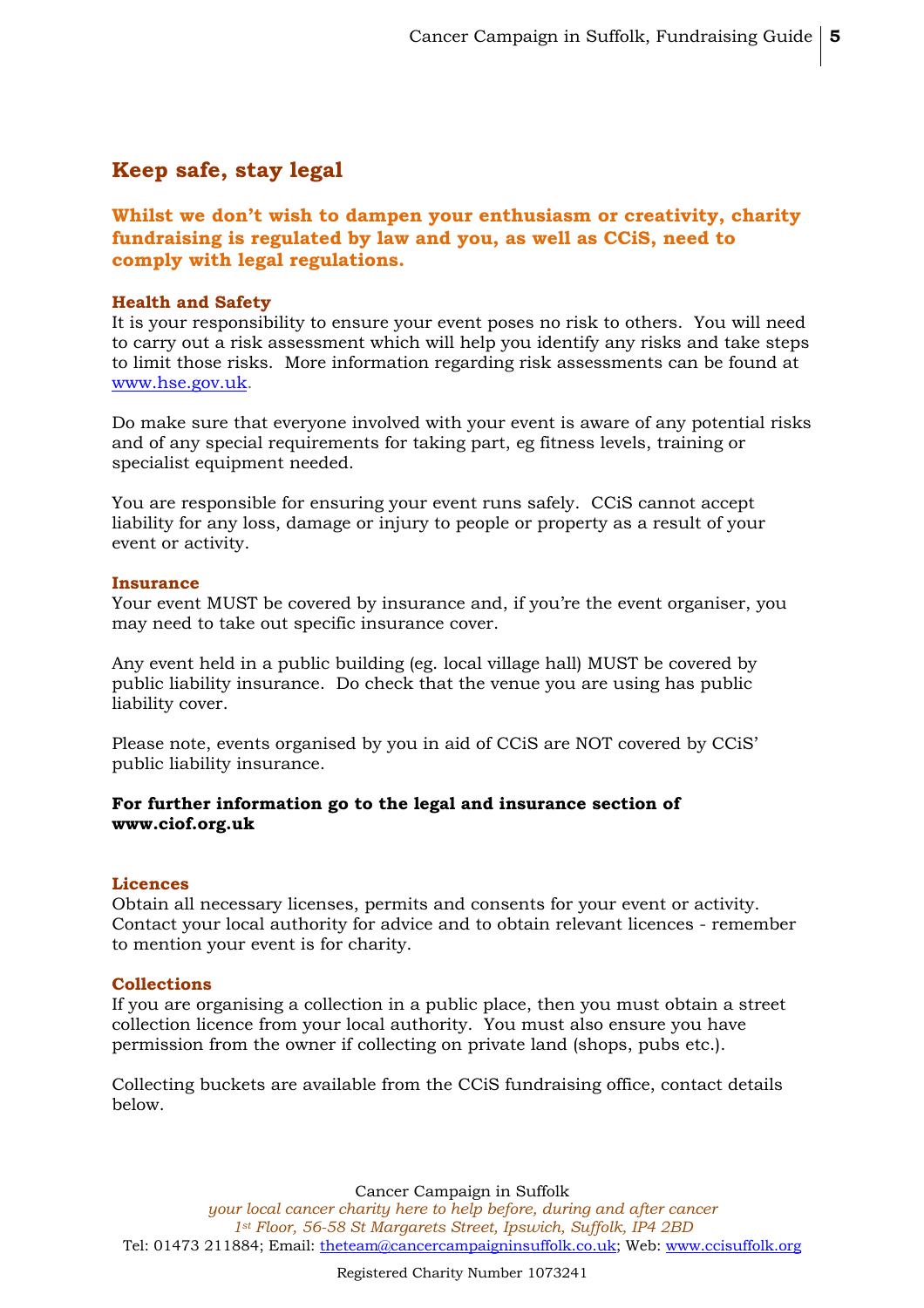## **Keep safe, stay legal**

## **Whilst we don't wish to dampen your enthusiasm or creativity, charity fundraising is regulated by law and you, as well as CCiS, need to comply with legal regulations.**

#### **Health and Safety**

It is your responsibility to ensure your event poses no risk to others. You will need to carry out a risk assessment which will help you identify any risks and take steps to limit those risks. More information regarding risk assessments can be found at www.hse.gov.uk.

Do make sure that everyone involved with your event is aware of any potential risks and of any special requirements for taking part, eg fitness levels, training or specialist equipment needed.

You are responsible for ensuring your event runs safely. CCiS cannot accept liability for any loss, damage or injury to people or property as a result of your event or activity.

#### **Insurance**

Your event MUST be covered by insurance and, if you're the event organiser, you may need to take out specific insurance cover.

Any event held in a public building (eg. local village hall) MUST be covered by public liability insurance. Do check that the venue you are using has public liability cover.

Please note, events organised by you in aid of CCiS are NOT covered by CCiS' public liability insurance.

#### **For further information go to the legal and insurance section of www.ciof.org.uk**

#### **Licences**

Obtain all necessary licenses, permits and consents for your event or activity. Contact your local authority for advice and to obtain relevant licences - remember to mention your event is for charity.

#### **Collections**

If you are organising a collection in a public place, then you must obtain a street collection licence from your local authority. You must also ensure you have permission from the owner if collecting on private land (shops, pubs etc.).

Collecting buckets are available from the CCiS fundraising office, contact details below.

Cancer Campaign in Suffolk

*your local cancer charity here to help before, during and after cancer 1st Floor, 56-58 St Margarets Street, Ipswich, Suffolk, IP4 2BD* Tel: 01473 211884; Email: theteam@cancercampaigninsuffolk.co.uk; Web: www.ccisuffolk.org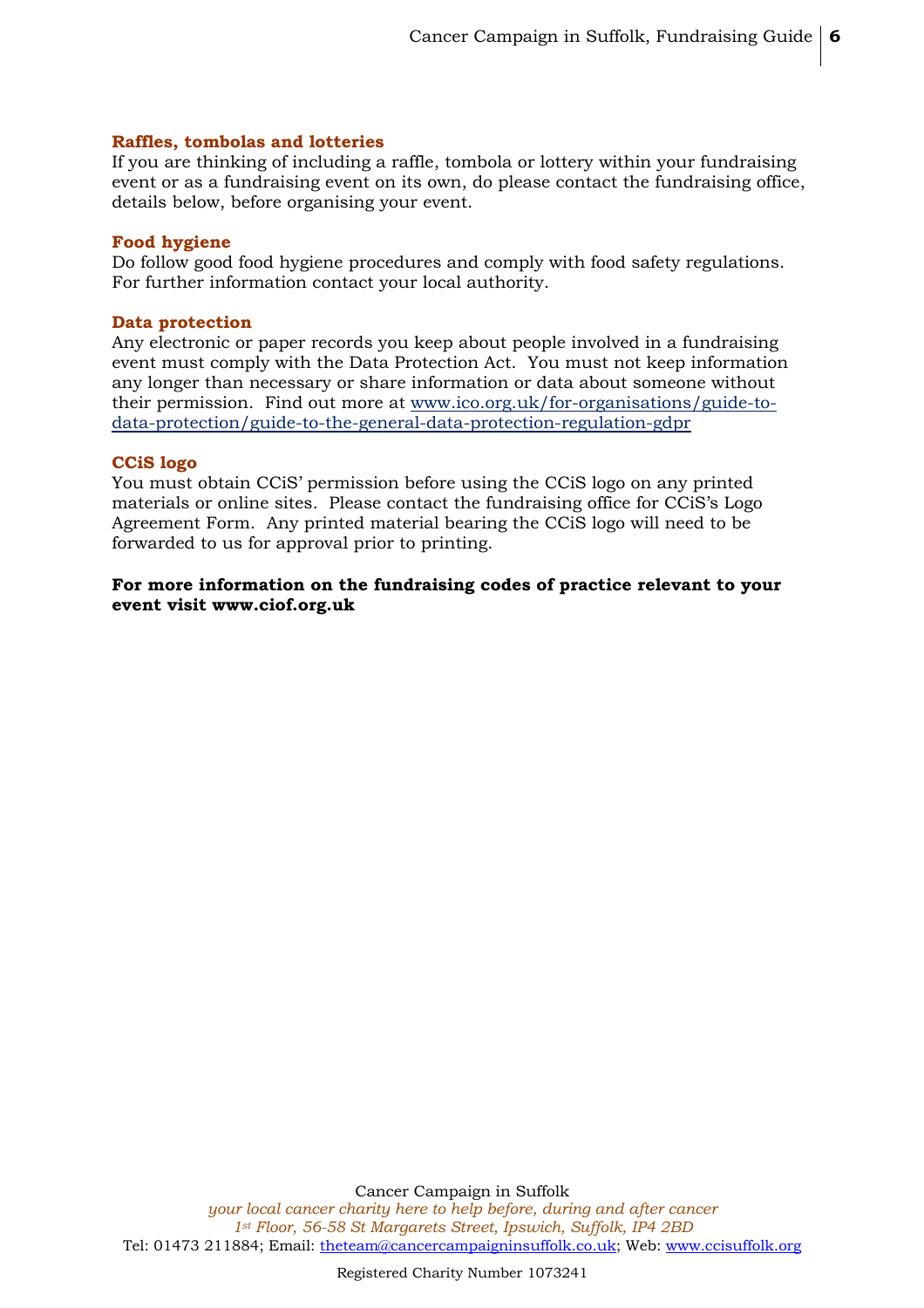#### **Raffles, tombolas and lotteries**

If you are thinking of including a raffle, tombola or lottery within your fundraising event or as a fundraising event on its own, do please contact the fundraising office, details below, before organising your event.

#### **Food hygiene**

Do follow good food hygiene procedures and comply with food safety regulations. For further information contact your local authority.

#### **Data protection**

Any electronic or paper records you keep about people involved in a fundraising event must comply with the Data Protection Act. You must not keep information any longer than necessary or share information or data about someone without their permission. Find out more at www.ico.org.uk/for-organisations/guide-todata-protection/guide-to-the-general-data-protection-regulation-gdpr

#### **CCiS logo**

You must obtain CCiS' permission before using the CCiS logo on any printed materials or online sites. Please contact the fundraising office for CCiS's Logo Agreement Form. Any printed material bearing the CCiS logo will need to be forwarded to us for approval prior to printing.

**For more information on the fundraising codes of practice relevant to your event visit www.ciof.org.uk**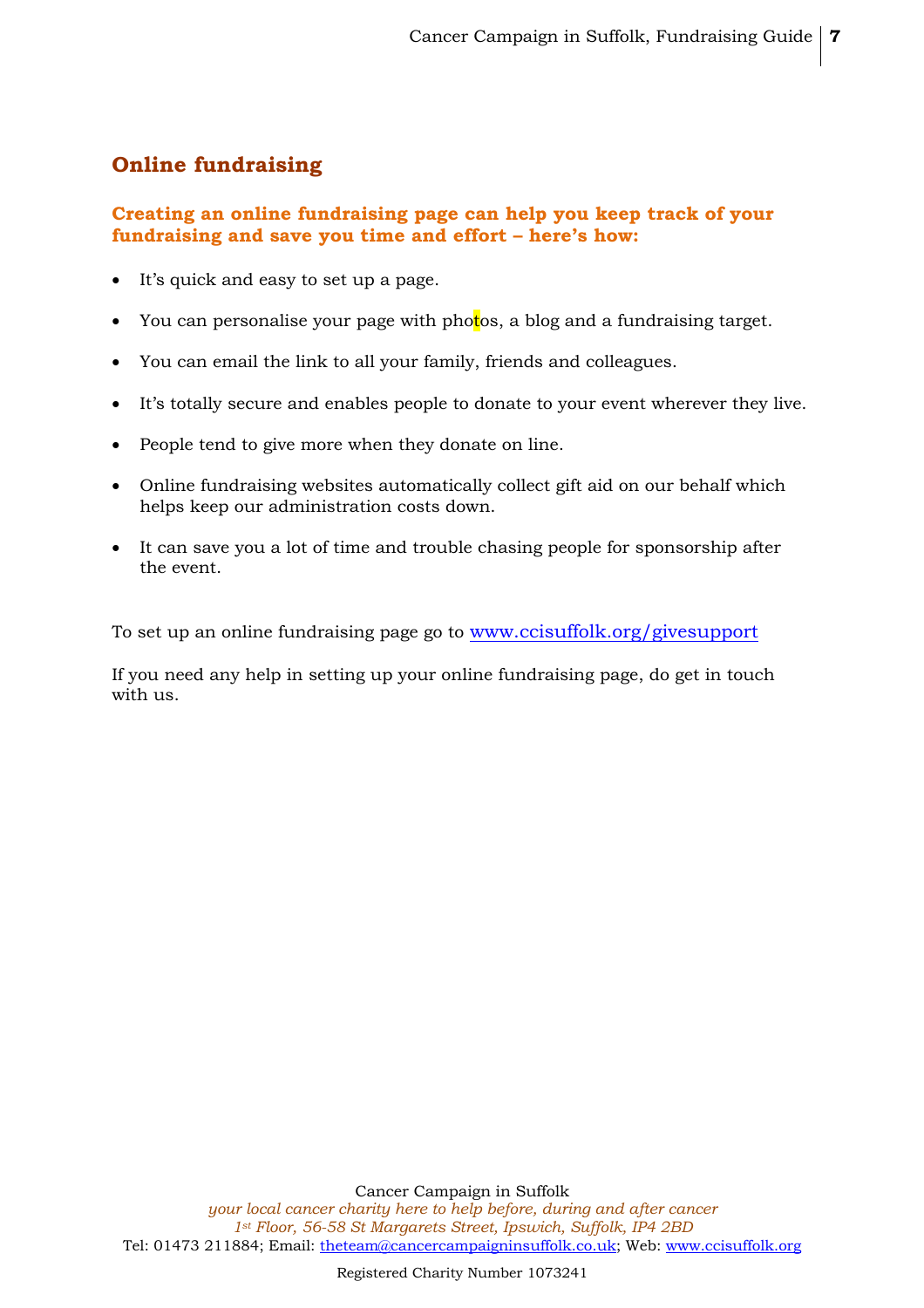## **Online fundraising**

## **Creating an online fundraising page can help you keep track of your fundraising and save you time and effort – here's how:**

- It's quick and easy to set up a page.
- You can personalise your page with photos, a blog and a fundraising target.
- You can email the link to all your family, friends and colleagues.
- It's totally secure and enables people to donate to your event wherever they live.
- People tend to give more when they donate on line.
- Online fundraising websites automatically collect gift aid on our behalf which helps keep our administration costs down.
- It can save you a lot of time and trouble chasing people for sponsorship after the event.

To set up an online fundraising page go to www.ccisuffolk.org/givesupport

If you need any help in setting up your online fundraising page, do get in touch with us.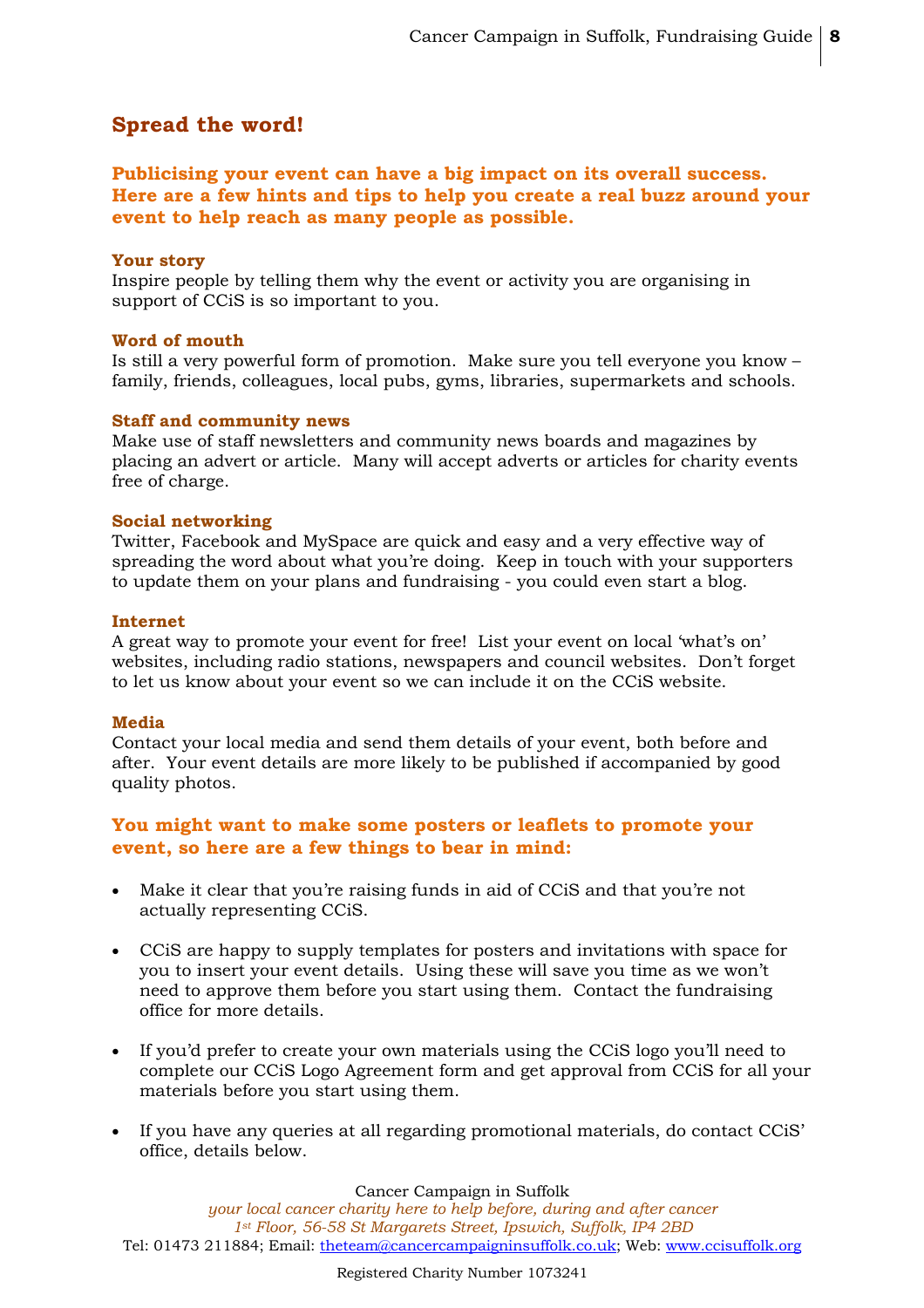## **Spread the word!**

**Publicising your event can have a big impact on its overall success. Here are a few hints and tips to help you create a real buzz around your event to help reach as many people as possible.**

#### **Your story**

Inspire people by telling them why the event or activity you are organising in support of CCiS is so important to you.

#### **Word of mouth**

Is still a very powerful form of promotion. Make sure you tell everyone you know – family, friends, colleagues, local pubs, gyms, libraries, supermarkets and schools.

#### **Staff and community news**

Make use of staff newsletters and community news boards and magazines by placing an advert or article. Many will accept adverts or articles for charity events free of charge.

#### **Social networking**

Twitter, Facebook and MySpace are quick and easy and a very effective way of spreading the word about what you're doing. Keep in touch with your supporters to update them on your plans and fundraising - you could even start a blog.

#### **Internet**

A great way to promote your event for free! List your event on local 'what's on' websites, including radio stations, newspapers and council websites. Don't forget to let us know about your event so we can include it on the CCiS website.

#### **Media**

Contact your local media and send them details of your event, both before and after. Your event details are more likely to be published if accompanied by good quality photos.

#### **You might want to make some posters or leaflets to promote your event, so here are a few things to bear in mind:**

- Make it clear that you're raising funds in aid of CCiS and that you're not actually representing CCiS.
- CCiS are happy to supply templates for posters and invitations with space for you to insert your event details. Using these will save you time as we won't need to approve them before you start using them. Contact the fundraising office for more details.
- If you'd prefer to create your own materials using the CCiS logo you'll need to complete our CCiS Logo Agreement form and get approval from CCiS for all your materials before you start using them.
- If you have any queries at all regarding promotional materials, do contact CCiS' office, details below.

#### Cancer Campaign in Suffolk

*your local cancer charity here to help before, during and after cancer 1st Floor, 56-58 St Margarets Street, Ipswich, Suffolk, IP4 2BD* Tel: 01473 211884; Email: theteam@cancercampaigninsuffolk.co.uk; Web: www.ccisuffolk.org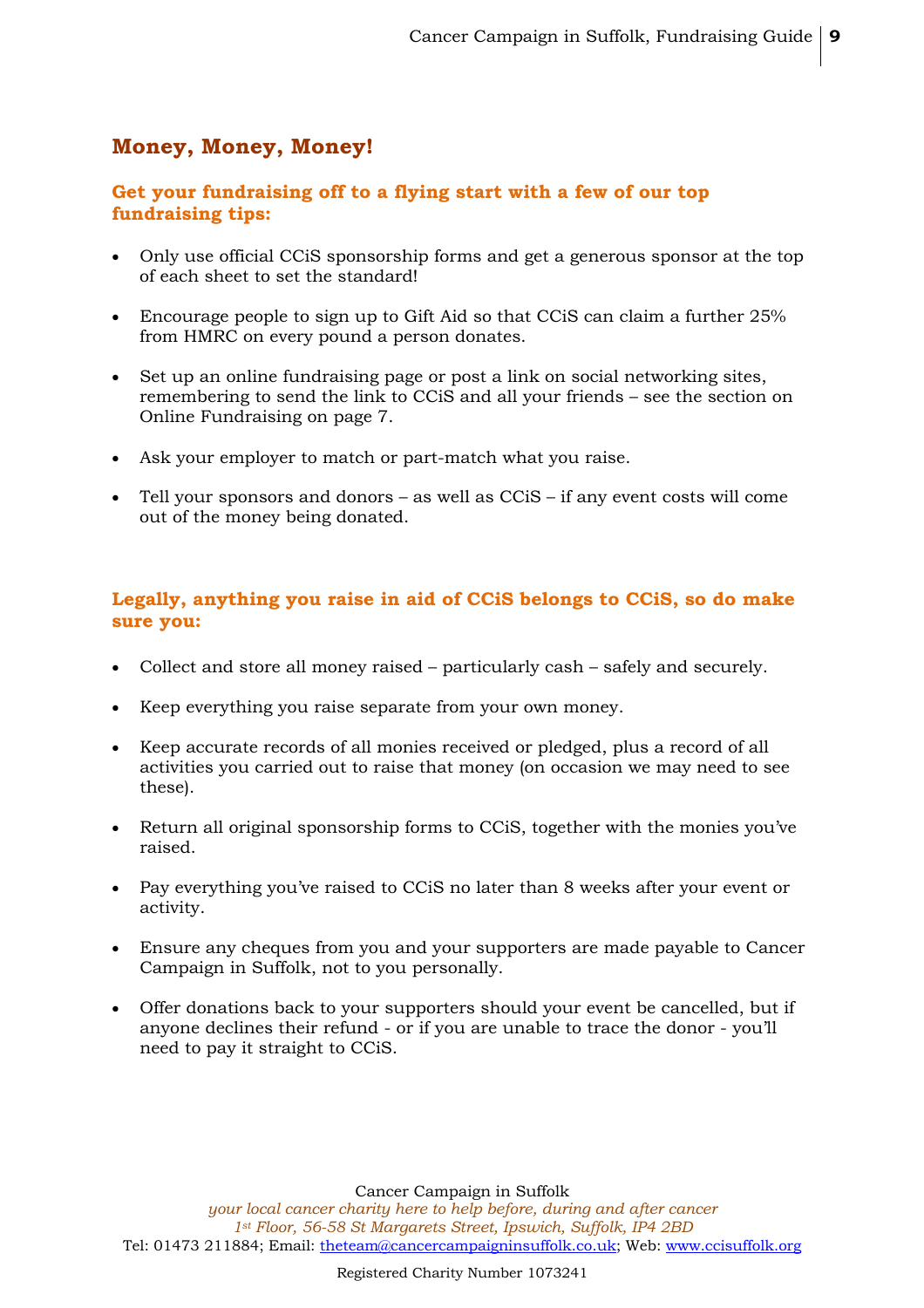## **Money, Money, Money!**

## **Get your fundraising off to a flying start with a few of our top fundraising tips:**

- Only use official CCiS sponsorship forms and get a generous sponsor at the top of each sheet to set the standard!
- Encourage people to sign up to Gift Aid so that CCiS can claim a further 25% from HMRC on every pound a person donates.
- Set up an online fundraising page or post a link on social networking sites, remembering to send the link to CCiS and all your friends – see the section on Online Fundraising on page 7.
- Ask your employer to match or part-match what you raise.
- Tell your sponsors and donors as well as CCiS if any event costs will come out of the money being donated.

## **Legally, anything you raise in aid of CCiS belongs to CCiS, so do make sure you:**

- Collect and store all money raised particularly cash safely and securely.
- Keep everything you raise separate from your own money.
- Keep accurate records of all monies received or pledged, plus a record of all activities you carried out to raise that money (on occasion we may need to see these).
- Return all original sponsorship forms to CCiS, together with the monies you've raised.
- Pay everything you've raised to CCiS no later than 8 weeks after your event or activity.
- Ensure any cheques from you and your supporters are made payable to Cancer Campaign in Suffolk, not to you personally.
- Offer donations back to your supporters should your event be cancelled, but if anyone declines their refund - or if you are unable to trace the donor - you'll need to pay it straight to CCiS.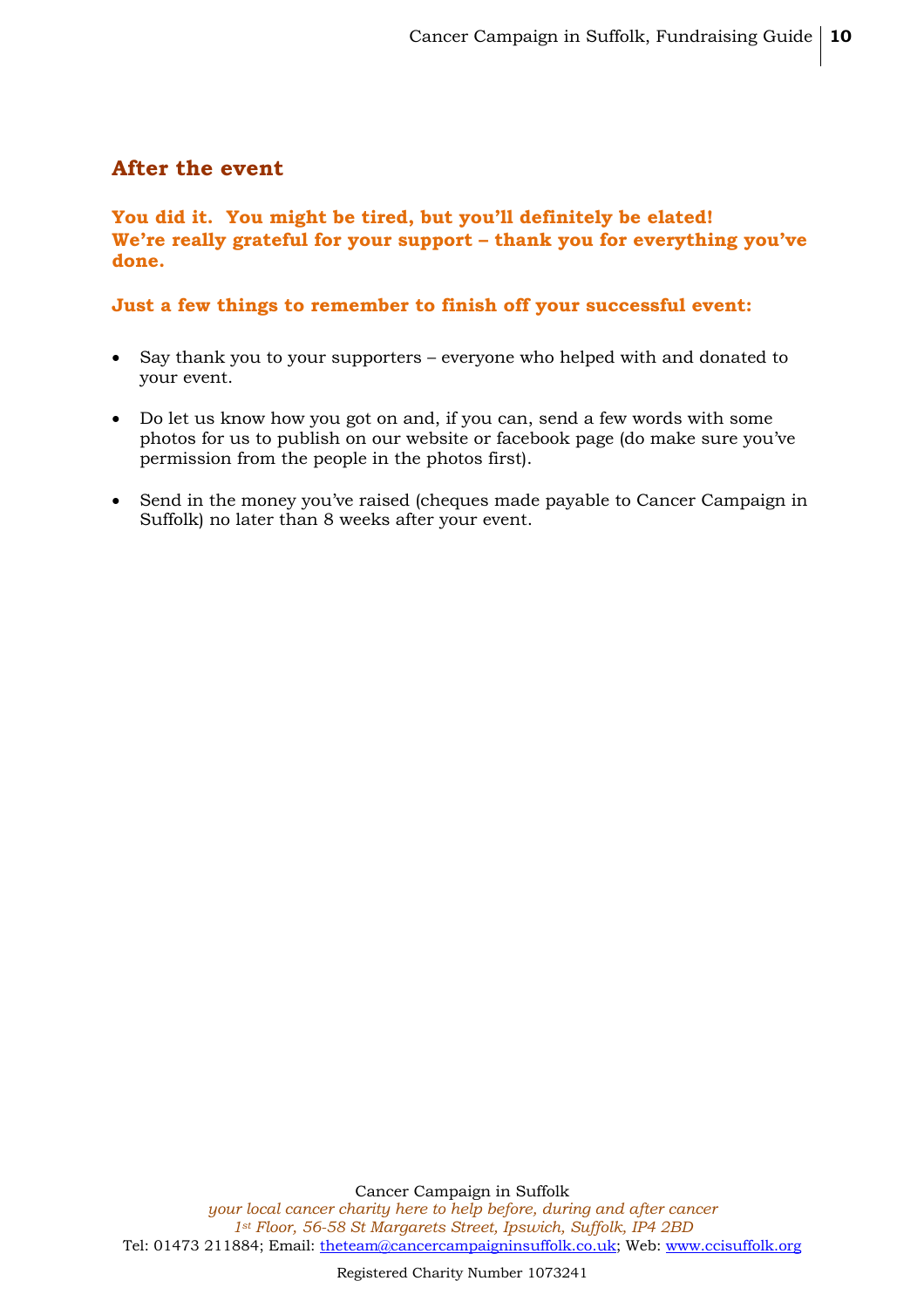## **After the event**

## **You did it. You might be tired, but you'll definitely be elated! We're really grateful for your support – thank you for everything you've done.**

## **Just a few things to remember to finish off your successful event:**

- Say thank you to your supporters everyone who helped with and donated to your event.
- Do let us know how you got on and, if you can, send a few words with some photos for us to publish on our website or facebook page (do make sure you've permission from the people in the photos first).
- Send in the money you've raised (cheques made payable to Cancer Campaign in Suffolk) no later than 8 weeks after your event.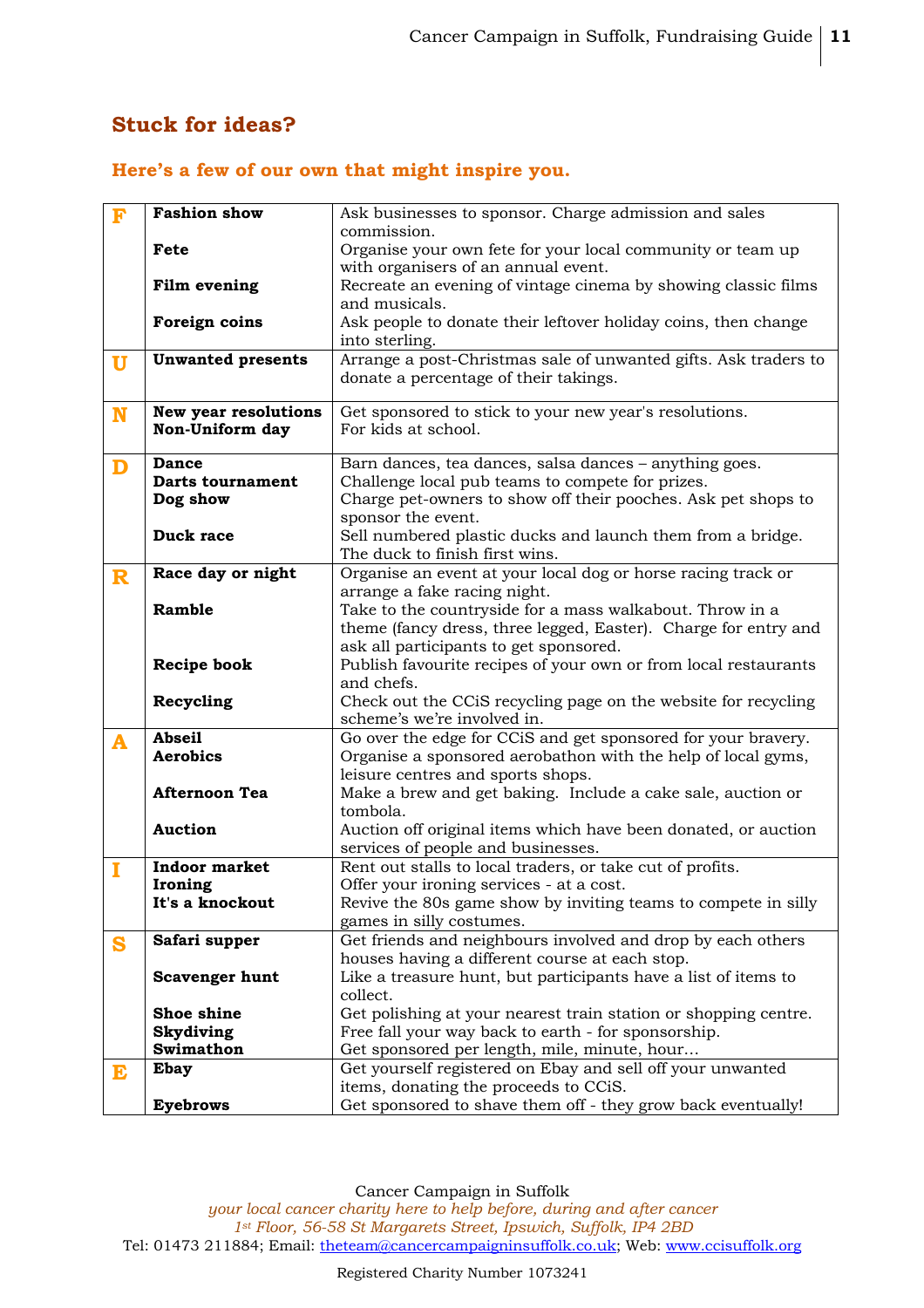## **Stuck for ideas?**

## **Here's a few of our own that might inspire you.**

| F           | <b>Fashion show</b>      | Ask businesses to sponsor. Charge admission and sales                                                    |  |
|-------------|--------------------------|----------------------------------------------------------------------------------------------------------|--|
|             |                          | commission.                                                                                              |  |
|             | Fete                     | Organise your own fete for your local community or team up                                               |  |
|             |                          | with organisers of an annual event.<br>Recreate an evening of vintage cinema by showing classic films    |  |
|             | Film evening             | and musicals.                                                                                            |  |
|             | Foreign coins            | Ask people to donate their leftover holiday coins, then change                                           |  |
|             |                          | into sterling.                                                                                           |  |
| $\mathbf U$ | <b>Unwanted presents</b> | Arrange a post-Christmas sale of unwanted gifts. Ask traders to<br>donate a percentage of their takings. |  |
|             |                          |                                                                                                          |  |
| N           | New year resolutions     | Get sponsored to stick to your new year's resolutions.                                                   |  |
|             | Non-Uniform day          | For kids at school.                                                                                      |  |
|             |                          |                                                                                                          |  |
| D           | <b>Dance</b>             | Barn dances, tea dances, salsa dances - anything goes.                                                   |  |
|             | <b>Darts tournament</b>  | Challenge local pub teams to compete for prizes.                                                         |  |
|             | Dog show                 | Charge pet-owners to show off their pooches. Ask pet shops to                                            |  |
|             | Duck race                | sponsor the event.<br>Sell numbered plastic ducks and launch them from a bridge.                         |  |
|             |                          | The duck to finish first wins.                                                                           |  |
|             | Race day or night        | Organise an event at your local dog or horse racing track or                                             |  |
| $\mathbf R$ |                          | arrange a fake racing night.                                                                             |  |
|             | Ramble                   | Take to the countryside for a mass walkabout. Throw in a                                                 |  |
|             |                          | theme (fancy dress, three legged, Easter). Charge for entry and                                          |  |
|             |                          | ask all participants to get sponsored.                                                                   |  |
|             | <b>Recipe book</b>       | Publish favourite recipes of your own or from local restaurants                                          |  |
|             |                          | and chefs.                                                                                               |  |
|             | Recycling                | Check out the CCiS recycling page on the website for recycling                                           |  |
|             |                          | scheme's we're involved in.                                                                              |  |
| A           | <b>Abseil</b>            | Go over the edge for CCiS and get sponsored for your bravery.                                            |  |
|             | <b>Aerobics</b>          | Organise a sponsored aerobathon with the help of local gyms,                                             |  |
|             |                          | leisure centres and sports shops.                                                                        |  |
|             | <b>Afternoon Tea</b>     | Make a brew and get baking. Include a cake sale, auction or                                              |  |
|             | <b>Auction</b>           | tombola.                                                                                                 |  |
|             |                          | Auction off original items which have been donated, or auction<br>services of people and businesses.     |  |
|             | <b>Indoor market</b>     | Rent out stalls to local traders, or take cut of profits.                                                |  |
| I           | Ironing                  | Offer your ironing services - at a cost.                                                                 |  |
|             | It's a knockout          | Revive the 80s game show by inviting teams to compete in silly                                           |  |
|             |                          | games in silly costumes.                                                                                 |  |
| S           | Safari supper            | Get friends and neighbours involved and drop by each others                                              |  |
|             |                          | houses having a different course at each stop.                                                           |  |
|             | <b>Scavenger hunt</b>    | Like a treasure hunt, but participants have a list of items to                                           |  |
|             |                          | collect.                                                                                                 |  |
|             | Shoe shine               | Get polishing at your nearest train station or shopping centre.                                          |  |
|             | <b>Skydiving</b>         | Free fall your way back to earth - for sponsorship.                                                      |  |
|             | Swimathon                | Get sponsored per length, mile, minute, hour                                                             |  |
| E           | <b>Ebay</b>              | Get yourself registered on Ebay and sell off your unwanted                                               |  |
|             |                          | items, donating the proceeds to CCiS.                                                                    |  |
|             | <b>Eyebrows</b>          | Get sponsored to shave them off - they grow back eventually!                                             |  |

Cancer Campaign in Suffolk *your local cancer charity here to help before, during and after cancer 1st Floor, 56-58 St Margarets Street, Ipswich, Suffolk, IP4 2BD* Tel: 01473 211884; Email: theteam@cancercampaigninsuffolk.co.uk; Web: www.ccisuffolk.org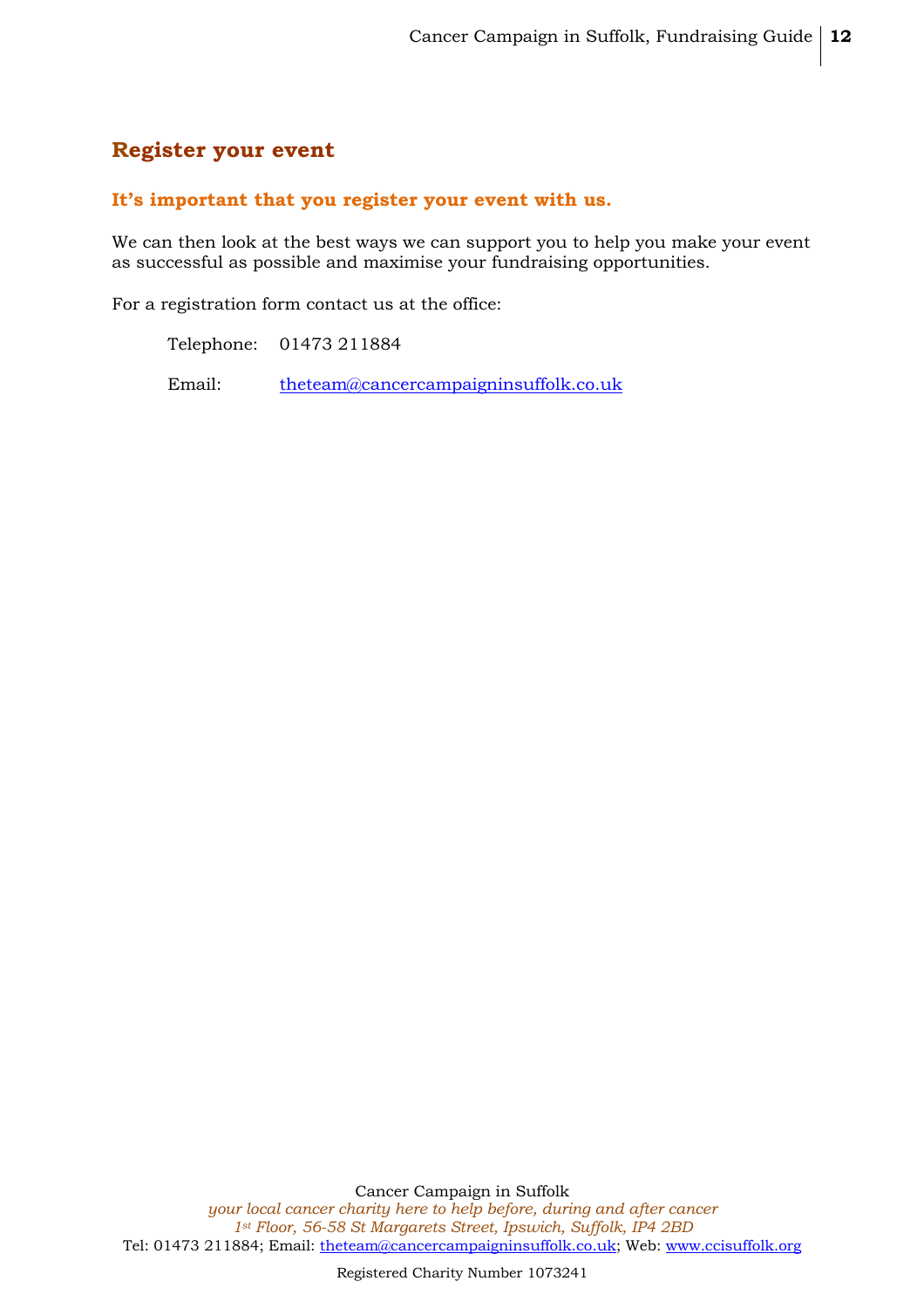## **Register your event**

#### **It's important that you register your event with us.**

We can then look at the best ways we can support you to help you make your event as successful as possible and maximise your fundraising opportunities.

For a registration form contact us at the office:

Telephone: 01473 211884

Email: theteam@cancercampaigninsuffolk.co.uk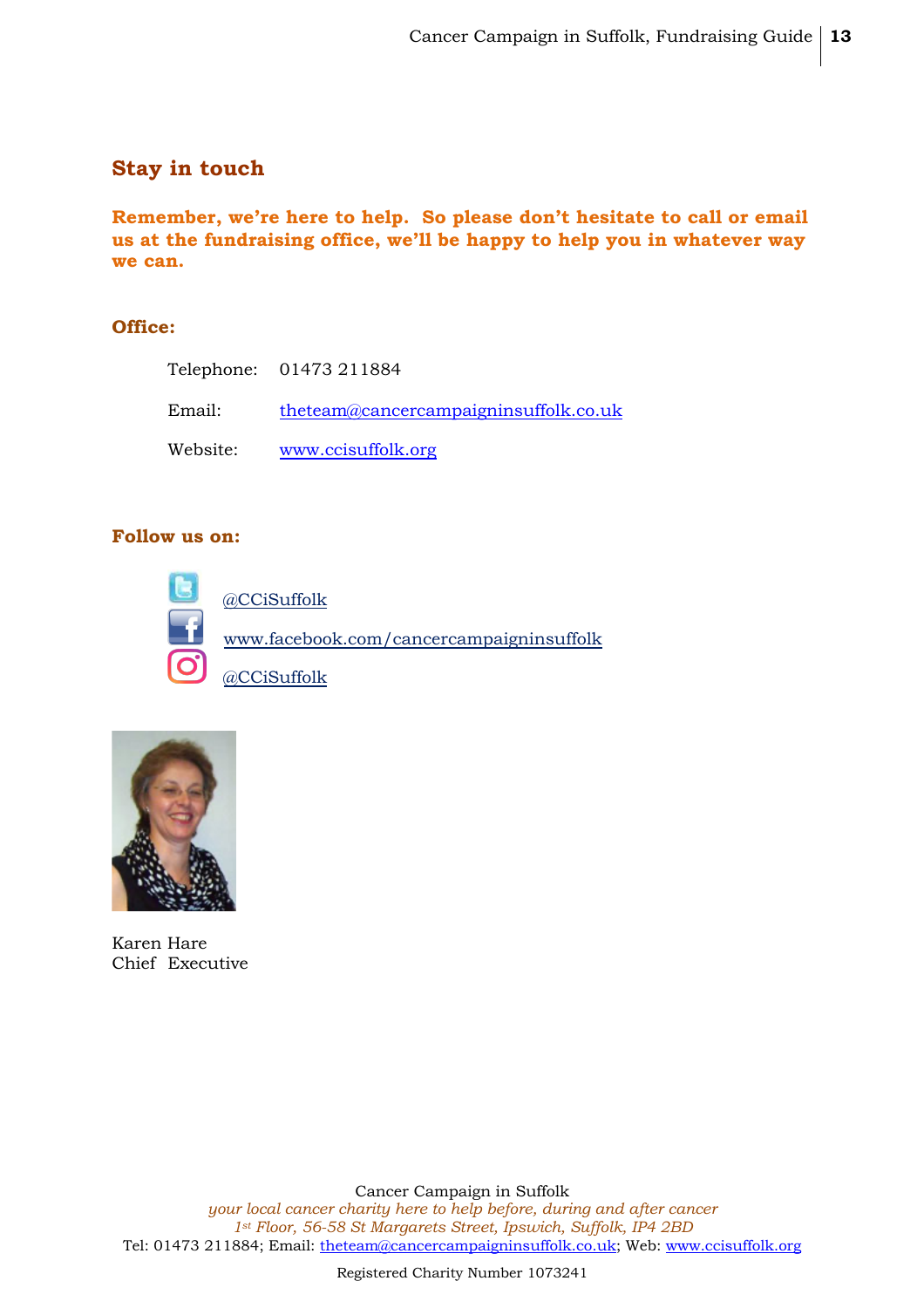## **Stay in touch**

**Remember, we're here to help. So please don't hesitate to call or email us at the fundraising office, we'll be happy to help you in whatever way we can.**

## **Office:**

|          | Telephone: 01473 211884               |
|----------|---------------------------------------|
| Email:   | theteam@cancercampaigninsuffolk.co.uk |
| Website: | www.ccisuffolk.org                    |

## **Follow us on:**





Karen Hare Chief Executive